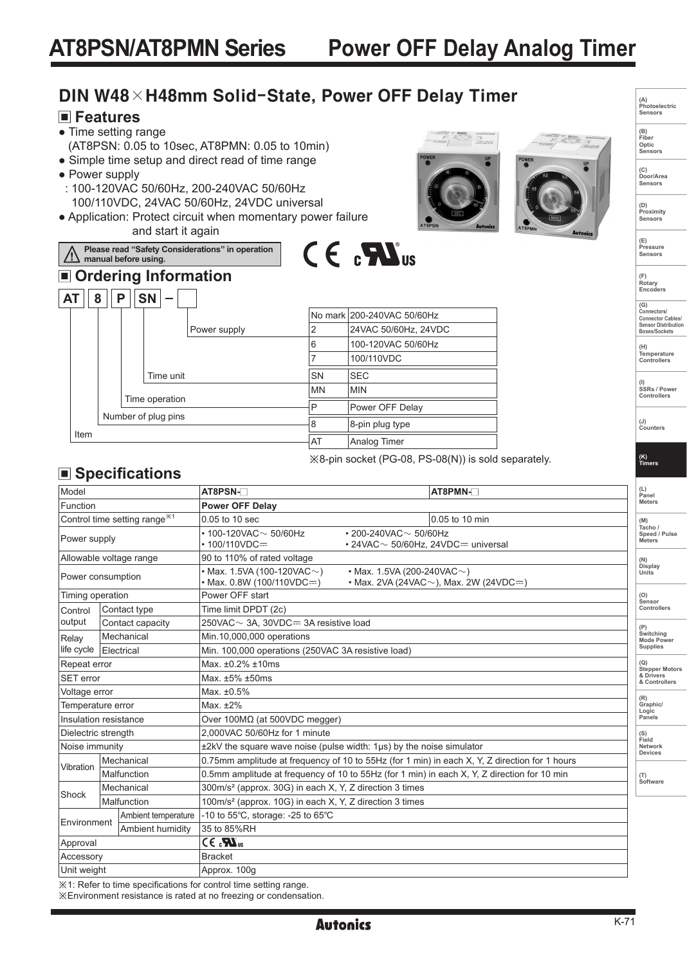# **Power OFF Delay Analog Timer**

# DIN W48×H48mm Solid-State, Power OFF Delay Timer

### **Features**

● Time setting range

 $AT || 8 || P || SN$ 

**manual before using.**

- (AT8PSN: 0.05 to 10sec, AT8PMN: 0.05 to 10min)
- Simple time setup and direct read of time range
- Power supply

<u>/\</u>

 : 100-120VAC 50/60Hz, 200-240VAC 50/60Hz 100/110VDC, 24VAC 50/60Hz, 24VDC universal

**Please read "Safety Considerations" in operation** 

 **Ordering Information**

Time operation Number of plug pins

Time unit

● Application: Protect circuit when momentary power failure and start it again

Power supply







**(B) Fiber Optic Sensors**

**(C) Door/Area Sensors**

**(D) Proximity Sensors** 

**(E) Pressure Sensors** 

**(F) Rotary Encoders** 

**(G) Connectors/ Connector Cables/ Sensor Distribution Boxes/Sockets** 

**(H) Temperature Controllers**

**(I) SSRs / Power Controllers**

**(J) Counters** 

**(K) Timers**

### **Specifications**

Item

| Model                                    |                     | AT8PSN-                                                                                                                                                   |  | AT8PMN-        |  | (L)<br>Panel                                                                                         |
|------------------------------------------|---------------------|-----------------------------------------------------------------------------------------------------------------------------------------------------------|--|----------------|--|------------------------------------------------------------------------------------------------------|
| Function                                 |                     | <b>Power OFF Delay</b>                                                                                                                                    |  |                |  | <b>Meters</b>                                                                                        |
| Control time setting range <sup>*1</sup> |                     | 0.05 to 10 sec                                                                                                                                            |  | 0.05 to 10 min |  | (M)                                                                                                  |
| Power supply                             |                     | $\cdot$ 100-120VAC $\sim$ 50/60Hz<br>$\cdot$ 200-240VAC $\sim$ 50/60Hz<br>$\cdot$ 100/110VDC=<br>$\cdot$ 24VAC $\sim$ 50/60Hz, 24VDC= universal           |  |                |  | Tacho /<br>Speed / Pulse<br><b>Meters</b><br>(N)<br>Display<br>Units<br>(O)<br>Sensor<br>Controllers |
| Allowable voltage range                  |                     | 90 to 110% of rated voltage                                                                                                                               |  |                |  |                                                                                                      |
| Power consumption                        |                     | • Max. 1.5VA (100-120VAC $\sim$ )<br>• Max. 1.5VA (200-240VAC $\sim$ )<br>$\cdot$ Max, 0.8W (100/110VDC=)<br>• Max. 2VA (24VAC $\sim$ ), Max. 2W (24VDC=) |  |                |  |                                                                                                      |
| Timing operation                         |                     | Power OFF start                                                                                                                                           |  |                |  |                                                                                                      |
| Control                                  | Contact type        | Time limit DPDT (2c)                                                                                                                                      |  |                |  |                                                                                                      |
| output                                   | Contact capacity    | 250VAC ~ 3A, 30VDC= 3A resistive load                                                                                                                     |  |                |  | Switching<br>Mode Power<br><b>Supplies</b><br>(Q)<br><b>Stepper Motors</b>                           |
| Relay<br>life cycle                      | Mechanical          | Min.10,000,000 operations                                                                                                                                 |  |                |  |                                                                                                      |
|                                          | Electrical          | Min. 100,000 operations (250VAC 3A resistive load)                                                                                                        |  |                |  |                                                                                                      |
| Repeat error                             |                     | Max. ±0.2% ±10ms                                                                                                                                          |  |                |  |                                                                                                      |
| SET error                                |                     | Max. ±5% ±50ms                                                                                                                                            |  |                |  | & Drivers<br>& Controllers                                                                           |
| Voltage error                            |                     | Max. ±0.5%                                                                                                                                                |  |                |  | (R)                                                                                                  |
| Temperature error                        |                     | Max. $±2\%$                                                                                                                                               |  |                |  | Graphic/<br>Logic                                                                                    |
| Insulation resistance                    |                     | Over $100M\Omega$ (at 500VDC megger)                                                                                                                      |  |                |  | Panels                                                                                               |
| Dielectric strength                      |                     | 2.000VAC 50/60Hz for 1 minute                                                                                                                             |  |                |  | (S)<br>Field<br>Network<br>Devices                                                                   |
| Noise immunity                           |                     | ±2kV the square wave noise (pulse width: 1µs) by the noise simulator                                                                                      |  |                |  |                                                                                                      |
| Vibration                                | Mechanical          | 0.75mm amplitude at frequency of 10 to 55Hz (for 1 min) in each X, Y, Z direction for 1 hours                                                             |  |                |  | (T)<br>Software                                                                                      |
|                                          | Malfunction         | 0.5mm amplitude at frequency of 10 to 55Hz (for 1 min) in each X, Y, Z direction for 10 min                                                               |  |                |  |                                                                                                      |
| Shock                                    | Mechanical          | 300m/s <sup>2</sup> (approx. 30G) in each X, Y, Z direction 3 times                                                                                       |  |                |  |                                                                                                      |
|                                          | Malfunction         | 100m/s <sup>2</sup> (approx. 10G) in each X, Y, Z direction 3 times                                                                                       |  |                |  |                                                                                                      |
| Environment                              | Ambient temperature | -10 to $55^{\circ}$ C, storage: -25 to $65^{\circ}$ C                                                                                                     |  |                |  |                                                                                                      |
| Ambient humidity                         |                     | 35 to 85%RH                                                                                                                                               |  |                |  |                                                                                                      |
| Approval                                 |                     | $CE_{\alpha}$                                                                                                                                             |  |                |  |                                                                                                      |
| Accessory                                |                     | <b>Bracket</b>                                                                                                                                            |  |                |  |                                                                                                      |
| Unit weight                              |                     | Approx. 100g                                                                                                                                              |  |                |  |                                                                                                      |

No mark 200-240VAC 50/60Hz 2 24VAC 50/60Hz, 24VDC 6 100-120VAC 50/60Hz 7 100/110VDC SN SEC MN MIN

P Power OFF Delay 8 8-pin plug type AT | Analog Timer

※8-pin socket (PG-08, PS-08(N)) is sold separately.

※1: Refer to time specifications for control time setting range.

※Environment resistance is rated at no freezing or condensation.

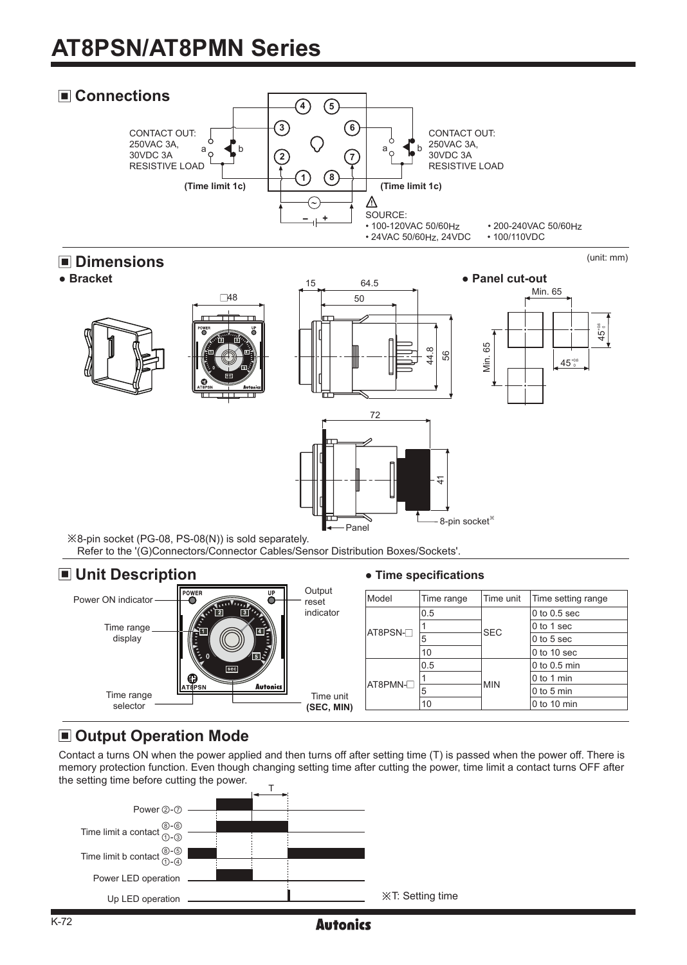# **AT8PSN/AT8PMN Series**



# **E** Dimensions<br>• Bracket



### ■ Unit Description **● Time specifications**



## $\blacksquare$  **Output Operation Mode**

Contact a turns ON when the power applied and then turns off after setting time (T) is passed when the power off. There is memory protection function. Even though changing setting time after cutting the power, time limit a contact turns OFF after the setting time before cutting the power.

**Autonics** 



## (unit: mm)

45+06